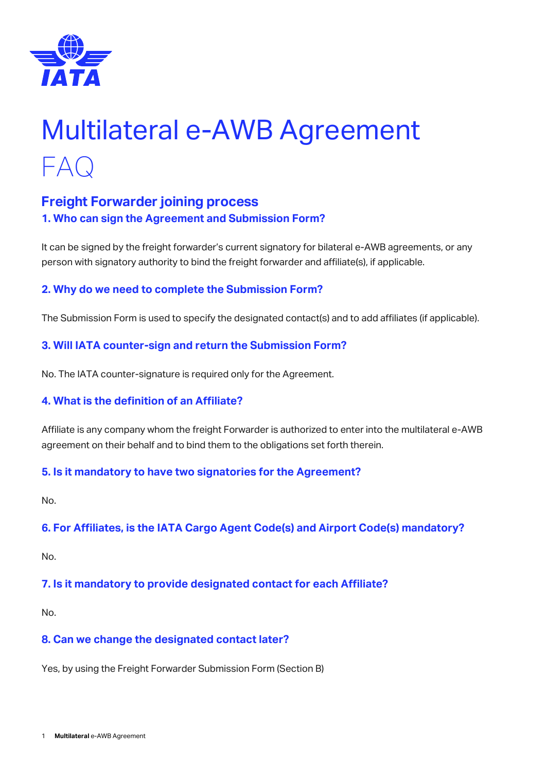

# Multilateral e-AWB Agreement FAQ

# **Freight Forwarder joining process 1. Who can sign the Agreement and Submission Form?**

It can be signed by the freight forwarder's current signatory for bilateral e-AWB agreements, or any person with signatory authority to bind the freight forwarder and affiliate(s), if applicable.

# **2. Why do we need to complete the Submission Form?**

The Submission Form is used to specify the designated contact(s) and to add affiliates (if applicable).

#### **3. Will IATA counter-sign and return the Submission Form?**

No. The IATA counter-signature is required only for the Agreement.

#### **4. What is the definition of an Affiliate?**

Affiliate is any company whom the freight Forwarder is authorized to enter into the multilateral e-AWB agreement on their behalf and to bind them to the obligations set forth therein.

#### **5. Is it mandatory to have two signatories for the Agreement?**

No.

#### **6. For Affiliates, is the IATA Cargo Agent Code(s) and Airport Code(s) mandatory?**

No.

#### **7. Is it mandatory to provide designated contact for each Affiliate?**

No.

#### **8. Can we change the designated contact later?**

Yes, by using the Freight Forwarder Submission Form (Section B)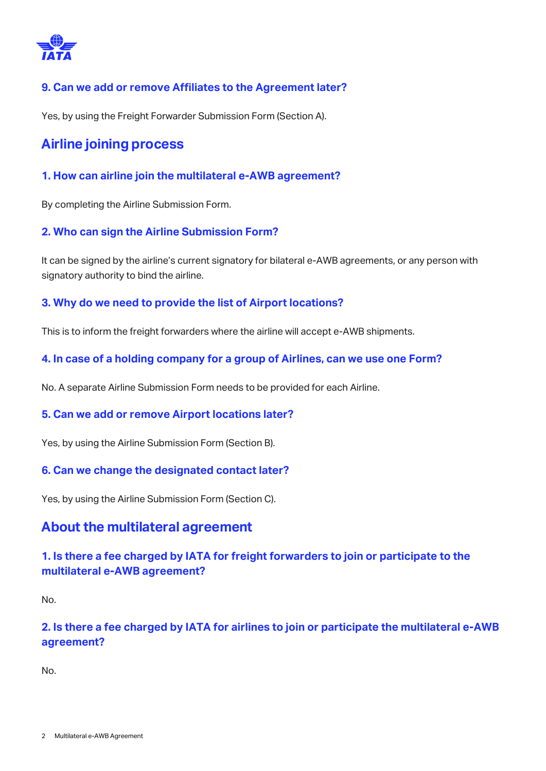

## **9. Can we add or remove Affiliates to the Agreement later?**

Yes, by using the Freight Forwarder Submission Form (Section A).

# **Airline joining process**

**1. How can airline join the multilateral e-AWB agreement?**

By completing the Airline Submission Form.

#### **2. Who can sign the Airline Submission Form?**

It can be signed by the airline's current signatory for bilateral e-AWB agreements, or any person with signatory authority to bind the airline.

#### **3. Why do we need to provide the list of Airport locations?**

This is to inform the freight forwarders where the airline will accept e-AWB shipments.

#### **4. In case of a holding company for a group of Airlines, can we use one Form?**

No. A separate Airline Submission Form needs to be provided for each Airline.

#### **5. Can we add or remove Airport locations later?**

Yes, by using the Airline Submission Form (Section B).

#### **6. Can we change the designated contact later?**

Yes, by using the Airline Submission Form (Section C).

# **About the multilateral agreement**

# **1. Is there a fee charged by IATA for freight forwarders to join or participate to the multilateral e-AWB agreement?**

No.

# **2. Is there a fee charged by IATA for airlines to join or participate the multilateral e-AWB agreement?**

No.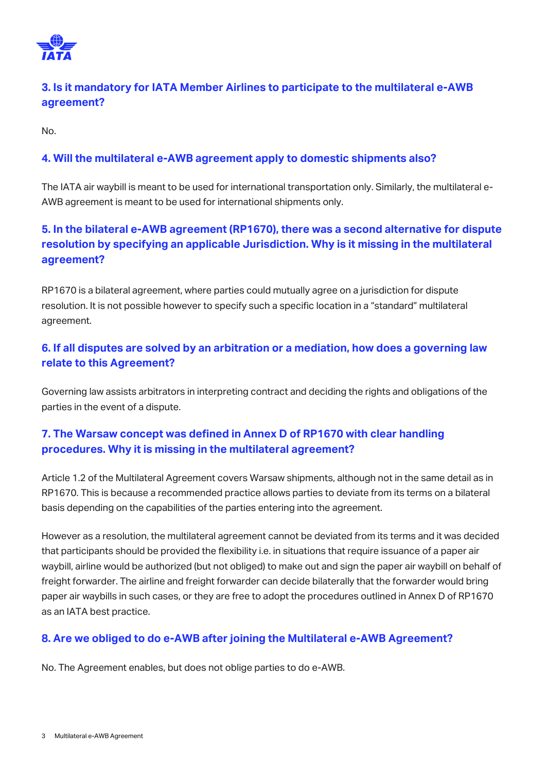

# **3. Is it mandatory for IATA Member Airlines to participate to the multilateral e-AWB agreement?**

No.

# **4. Will the multilateral e-AWB agreement apply to domestic shipments also?**

The IATA air waybill is meant to be used for international transportation only. Similarly, the multilateral e-AWB agreement is meant to be used for international shipments only.

# **5. In the bilateral e-AWB agreement (RP1670), there was a second alternative for dispute resolution by specifying an applicable Jurisdiction. Why is it missing in the multilateral agreement?**

RP1670 is a bilateral agreement, where parties could mutually agree on a jurisdiction for dispute resolution. It is not possible however to specify such a specific location in a "standard" multilateral agreement.

# **6. If all disputes are solved by an arbitration or a mediation, how does a governing law relate to this Agreement?**

Governing law assists arbitrators in interpreting contract and deciding the rights and obligations of the parties in the event of a dispute.

# **7. The Warsaw concept was defined in Annex D of RP1670 with clear handling procedures. Why it is missing in the multilateral agreement?**

Article 1.2 of the Multilateral Agreement covers Warsaw shipments, although not in the same detail as in RP1670. This is because a recommended practice allows parties to deviate from its terms on a bilateral basis depending on the capabilities of the parties entering into the agreement.

However as a resolution, the multilateral agreement cannot be deviated from its terms and it was decided that participants should be provided the flexibility i.e. in situations that require issuance of a paper air waybill, airline would be authorized (but not obliged) to make out and sign the paper air waybill on behalf of freight forwarder. The airline and freight forwarder can decide bilaterally that the forwarder would bring paper air waybills in such cases, or they are free to adopt the procedures outlined in Annex D of RP1670 as an IATA best practice.

# **8. Are we obliged to do e-AWB after joining the Multilateral e-AWB Agreement?**

No. The Agreement enables, but does not oblige parties to do e-AWB.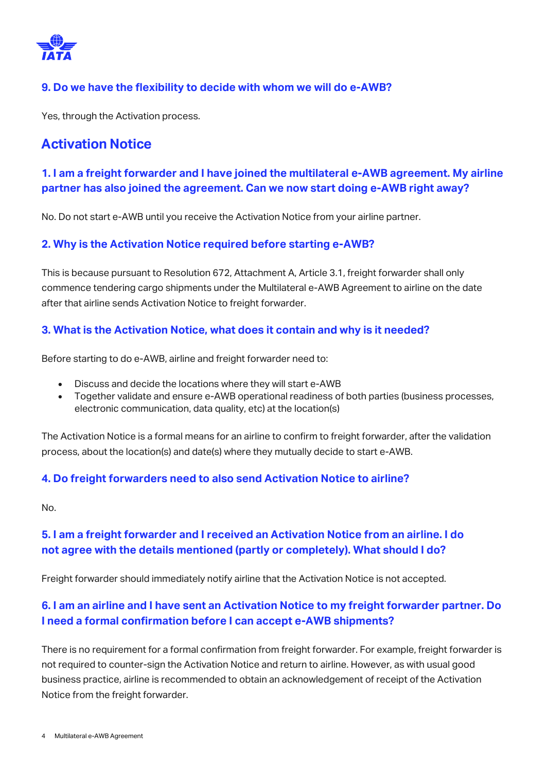

## **9. Do we have the flexibility to decide with whom we will do e-AWB?**

Yes, through the Activation process.

# **Activation Notice**

# **1. I am a freight forwarder and I have joined the multilateral e-AWB agreement. My airline partner has also joined the agreement. Can we now start doing e-AWB right away?**

No. Do not start e-AWB until you receive the Activation Notice from your airline partner.

#### **2. Why is the Activation Notice required before starting e-AWB?**

This is because pursuant to Resolution 672, Attachment A, Article 3.1, freight forwarder shall only commence tendering cargo shipments under the Multilateral e-AWB Agreement to airline on the date after that airline sends Activation Notice to freight forwarder.

#### **3. What is the Activation Notice, what does it contain and why is it needed?**

Before starting to do e-AWB, airline and freight forwarder need to:

- Discuss and decide the locations where they will start e-AWB
- Together validate and ensure e-AWB operational readiness of both parties (business processes, electronic communication, data quality, etc) at the location(s)

The Activation Notice is a formal means for an airline to confirm to freight forwarder, after the validation process, about the location(s) and date(s) where they mutually decide to start e-AWB.

#### **4. Do freight forwarders need to also send Activation Notice to airline?**

No.

# **5. I am a freight forwarder and I received an Activation Notice from an airline. I do not agree with the details mentioned (partly or completely). What should I do?**

Freight forwarder should immediately notify airline that the Activation Notice is not accepted.

# **6. I am an airline and I have sent an Activation Notice to my freight forwarder partner. Do I need a formal confirmation before I can accept e-AWB shipments?**

There is no requirement for a formal confirmation from freight forwarder. For example, freight forwarder is not required to counter-sign the Activation Notice and return to airline. However, as with usual good business practice, airline is recommended to obtain an acknowledgement of receipt of the Activation Notice from the freight forwarder.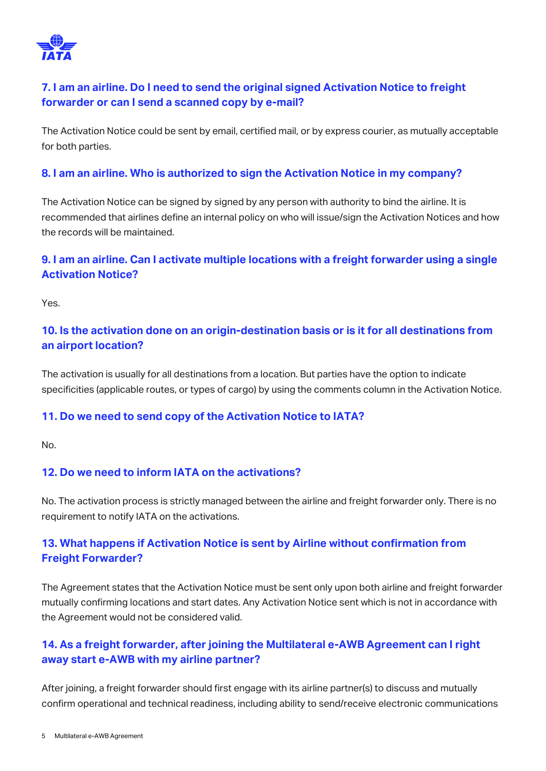

# **7. I am an airline. Do I need to send the original signed Activation Notice to freight forwarder or can I send a scanned copy by e-mail?**

The Activation Notice could be sent by email, certified mail, or by express courier, as mutually acceptable for both parties.

#### **8. I am an airline. Who is authorized to sign the Activation Notice in my company?**

The Activation Notice can be signed by signed by any person with authority to bind the airline. It is recommended that airlines define an internal policy on who will issue/sign the Activation Notices and how the records will be maintained.

# **9. I am an airline. Can I activate multiple locations with a freight forwarder using a single Activation Notice?**

Yes.

# **10. Is the activation done on an origin-destination basis or is it for all destinations from an airport location?**

The activation is usually for all destinations from a location. But parties have the option to indicate specificities (applicable routes, or types of cargo) by using the comments column in the Activation Notice.

#### **11. Do we need to send copy of the Activation Notice to IATA?**

No.

#### **12. Do we need to inform IATA on the activations?**

No. The activation process is strictly managed between the airline and freight forwarder only. There is no requirement to notify IATA on the activations.

# **13. What happens if Activation Notice is sent by Airline without confirmation from Freight Forwarder?**

The Agreement states that the Activation Notice must be sent only upon both airline and freight forwarder mutually confirming locations and start dates. Any Activation Notice sent which is not in accordance with the Agreement would not be considered valid.

# **14. As a freight forwarder, after joining the Multilateral e-AWB Agreement can I right away start e-AWB with my airline partner?**

After joining, a freight forwarder should first engage with its airline partner(s) to discuss and mutually confirm operational and technical readiness, including ability to send/receive electronic communications